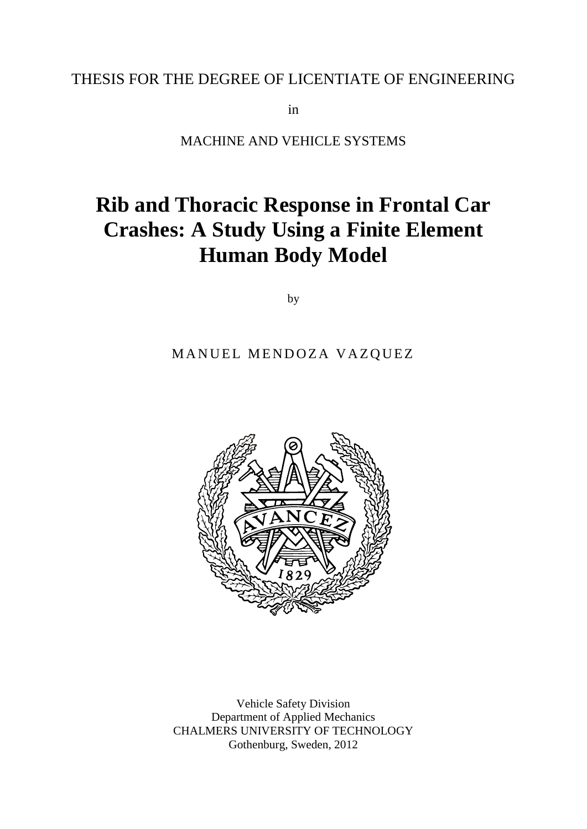## THESIS FOR THE DEGREE OF LICENTIATE OF ENGINEERING

in

MACHINE AND VEHICLE SYSTEMS

# **Rib and Thoracic Response in Frontal Car Crashes: A Study Using a Finite Element Human Body Model**

by

#### MANUEL MENDOZA VAZQUEZ



Vehicle Safety Division Department of Applied Mechanics CHALMERS UNIVERSITY OF TECHNOLOGY Gothenburg, Sweden, 2012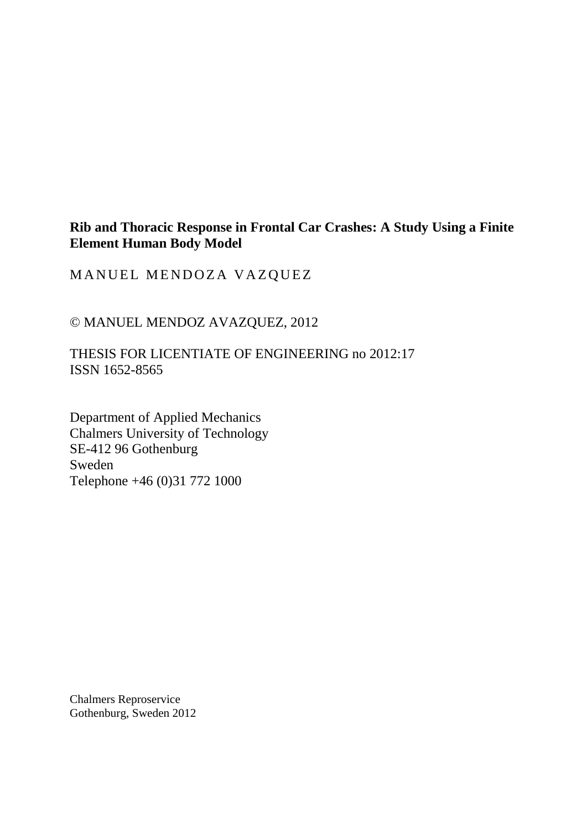#### **Rib and Thoracic Response in Frontal Car Crashes: A Study Using a Finite Element Human Body Model**

MANUEL MENDOZA VAZQUEZ

© MANUEL MENDOZ AVAZQUEZ, 2012

THESIS FOR LICENTIATE OF ENGINEERING no 2012:17 ISSN 1652-8565

Department of Applied Mechanics Chalmers University of Technology SE-412 96 Gothenburg Sweden Telephone +46 (0)31 772 1000

Chalmers Reproservice Gothenburg, Sweden 2012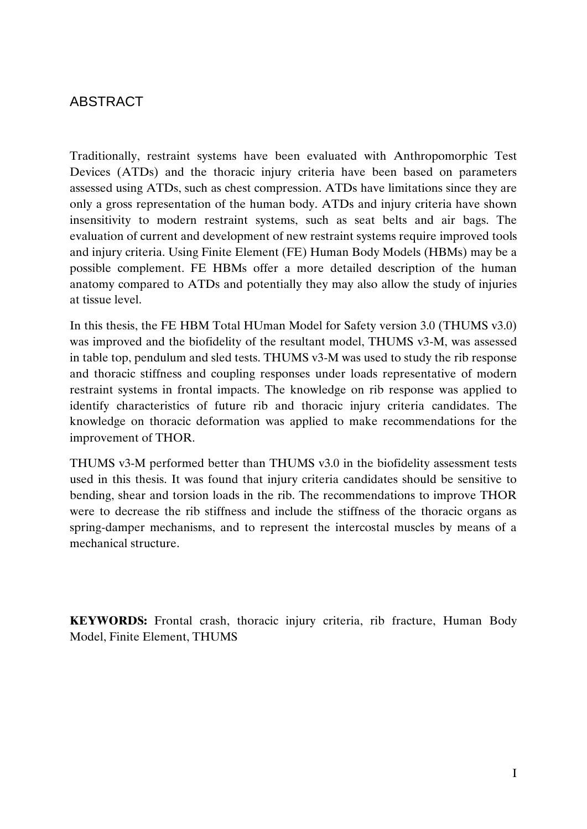## <span id="page-2-0"></span>ABSTRACT

Traditionally, restraint systems have been evaluated with Anthropomorphic Test Devices (ATDs) and the thoracic injury criteria have been based on parameters assessed using ATDs, such as chest compression. ATDs have limitations since they are only a gross representation of the human body. ATDs and injury criteria have shown insensitivity to modern restraint systems, such as seat belts and air bags. The evaluation of current and development of new restraint systems require improved tools and injury criteria. Using Finite Element (FE) Human Body Models (HBMs) may be a possible complement. FE HBMs offer a more detailed description of the human anatomy compared to ATDs and potentially they may also allow the study of injuries at tissue level.

In this thesis, the FE HBM Total HUman Model for Safety version 3.0 (THUMS v3.0) was improved and the biofidelity of the resultant model, THUMS v3-M, was assessed in table top, pendulum and sled tests. THUMS v3-M was used to study the rib response and thoracic stiffness and coupling responses under loads representative of modern restraint systems in frontal impacts. The knowledge on rib response was applied to identify characteristics of future rib and thoracic injury criteria candidates. The knowledge on thoracic deformation was applied to make recommendations for the improvement of THOR.

THUMS v3-M performed better than THUMS v3.0 in the biofidelity assessment tests used in this thesis. It was found that injury criteria candidates should be sensitive to bending, shear and torsion loads in the rib. The recommendations to improve THOR were to decrease the rib stiffness and include the stiffness of the thoracic organs as spring-damper mechanisms, and to represent the intercostal muscles by means of a mechanical structure.

**KEYWORDS:** Frontal crash, thoracic injury criteria, rib fracture, Human Body Model, Finite Element, THUMS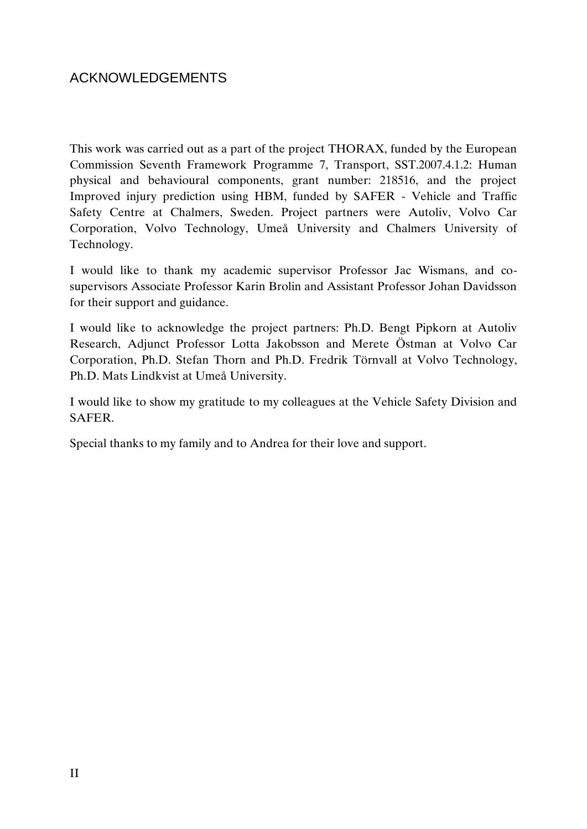## <span id="page-3-0"></span>ACKNOWLEDGEMENTS

This work was carried out as a part of the project THORAX, funded by the European Commission Seventh Framework Programme 7, Transport, SST.2007.4.1.2: Human physical and behavioural components, grant number: 218516, and the project Improved injury prediction using HBM, funded by SAFER - Vehicle and Traffic Safety Centre at Chalmers, Sweden. Project partners were Autoliv, Volvo Car Corporation, Volvo Technology, Umeå University and Chalmers University of Technology.

I would like to thank my academic supervisor Professor Jac Wismans, and cosupervisors Associate Professor Karin Brolin and Assistant Professor Johan Davidsson for their support and guidance.

I would like to acknowledge the project partners: Ph.D. Bengt Pipkorn at Autoliv Research, Adjunct Professor Lotta Jakobsson and Merete Östman at Volvo Car Corporation, Ph.D. Stefan Thorn and Ph.D. Fredrik Törnvall at Volvo Technology, Ph.D. Mats Lindkvist at Umeå University.

I would like to show my gratitude to my colleagues at the Vehicle Safety Division and SAFER.

Special thanks to my family and to Andrea for their love and support.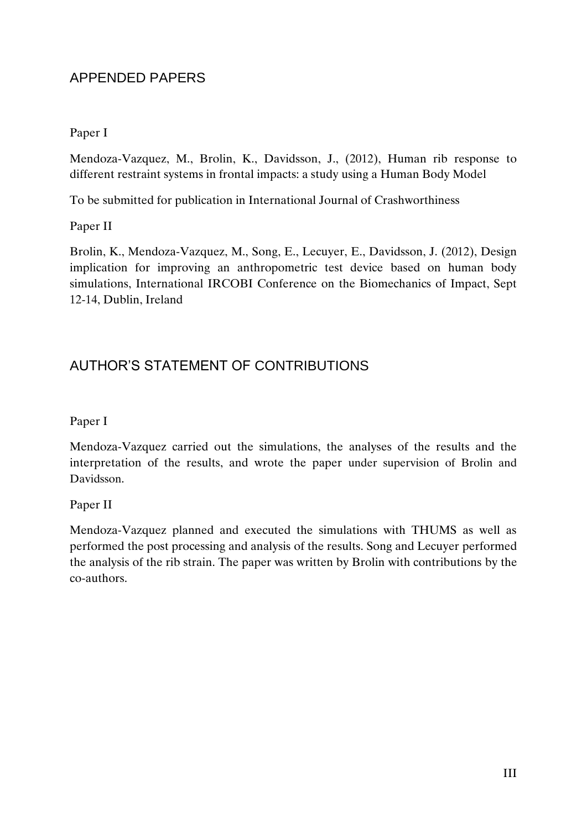## APPENDED PAPERS

#### Paper I

Mendoza-Vazquez, M., Brolin, K., Davidsson, J., (2012), Human rib response to different restraint systems in frontal impacts: a study using a Human Body Model

To be submitted for publication in International Journal of Crashworthiness

#### Paper II

Brolin, K., Mendoza-Vazquez, M., Song, E., Lecuyer, E., Davidsson, J. (2012), Design implication for improving an anthropometric test device based on human body simulations, International IRCOBI Conference on the Biomechanics of Impact, Sept 12-14, Dublin, Ireland

## AUTHOR'S STATEMENT OF CONTRIBUTIONS

#### Paper I

Mendoza-Vazquez carried out the simulations, the analyses of the results and the interpretation of the results, and wrote the paper under supervision of Brolin and Davidsson.

Paper II

Mendoza-Vazquez planned and executed the simulations with THUMS as well as performed the post processing and analysis of the results. Song and Lecuyer performed the analysis of the rib strain. The paper was written by Brolin with contributions by the co-authors.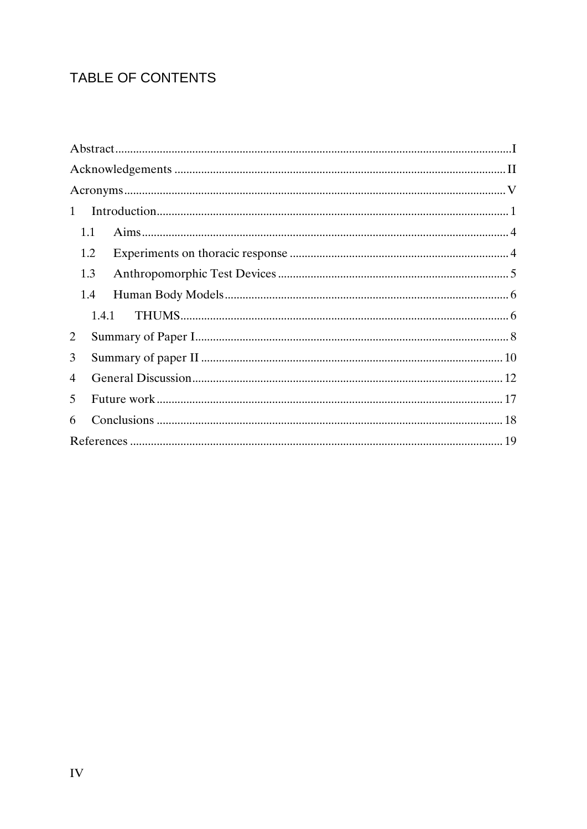## TABLE OF CONTENTS

| 1     |  |
|-------|--|
| 1.1   |  |
| 1.2   |  |
| 1.3   |  |
| 1.4   |  |
| 1.4.1 |  |
| 2     |  |
| 3     |  |
| 4     |  |
| 5     |  |
| 6     |  |
|       |  |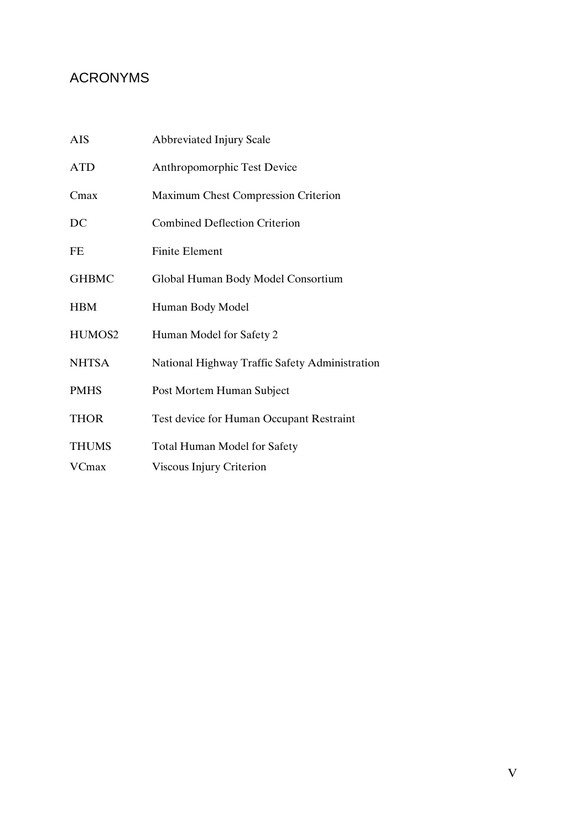## <span id="page-6-0"></span>ACRONYMS

| <b>AIS</b>   | <b>Abbreviated Injury Scale</b>                |
|--------------|------------------------------------------------|
| <b>ATD</b>   | <b>Anthropomorphic Test Device</b>             |
| Cmax         | Maximum Chest Compression Criterion            |
| DC           | <b>Combined Deflection Criterion</b>           |
| FE           | <b>Finite Element</b>                          |
| <b>GHBMC</b> | Global Human Body Model Consortium             |
| <b>HBM</b>   | Human Body Model                               |
| HUMOS2       | Human Model for Safety 2                       |
| <b>NHTSA</b> | National Highway Traffic Safety Administration |
| <b>PMHS</b>  | Post Mortem Human Subject                      |
| <b>THOR</b>  | Test device for Human Occupant Restraint       |
| <b>THUMS</b> | <b>Total Human Model for Safety</b>            |
| VCmax        | Viscous Injury Criterion                       |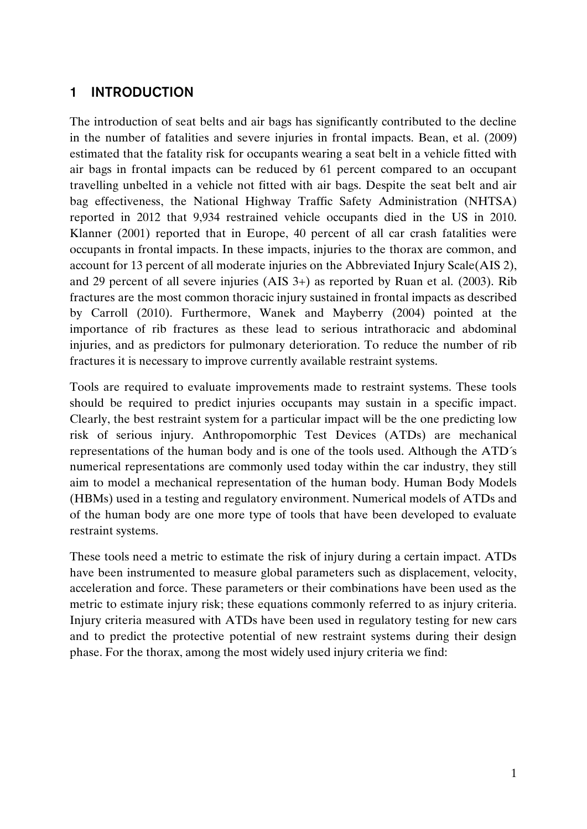## <span id="page-8-0"></span>**1 INTRODUCTION**

The introduction of seat belts and air bags has significantly contributed to the decline in the number of fatalities and severe injuries in frontal impacts. Bean, et al. (2009) estimated that the fatality risk for occupants wearing a seat belt in a vehicle fitted with air bags in frontal impacts can be reduced by 61 percent compared to an occupant travelling unbelted in a vehicle not fitted with air bags. Despite the seat belt and air bag effectiveness, the National Highway Traffic Safety Administration (NHTSA) reported in 2012 that 9,934 restrained vehicle occupants died in the US in 2010. Klanner (2001) reported that in Europe, 40 percent of all car crash fatalities were occupants in frontal impacts. In these impacts, injuries to the thorax are common, and account for 13 percent of all moderate injuries on the Abbreviated Injury Scale(AIS 2), and 29 percent of all severe injuries (AIS 3+) as reported by Ruan et al. (2003). Rib fractures are the most common thoracic injury sustained in frontal impacts as described by Carroll (2010). Furthermore, Wanek and Mayberry (2004) pointed at the importance of rib fractures as these lead to serious intrathoracic and abdominal injuries, and as predictors for pulmonary deterioration. To reduce the number of rib fractures it is necessary to improve currently available restraint systems.

Tools are required to evaluate improvements made to restraint systems. These tools should be required to predict injuries occupants may sustain in a specific impact. Clearly, the best restraint system for a particular impact will be the one predicting low risk of serious injury. Anthropomorphic Test Devices (ATDs) are mechanical representations of the human body and is one of the tools used. Although the ATD´s numerical representations are commonly used today within the car industry, they still aim to model a mechanical representation of the human body. Human Body Models (HBMs) used in a testing and regulatory environment. Numerical models of ATDs and of the human body are one more type of tools that have been developed to evaluate restraint systems.

These tools need a metric to estimate the risk of injury during a certain impact. ATDs have been instrumented to measure global parameters such as displacement, velocity, acceleration and force. These parameters or their combinations have been used as the metric to estimate injury risk; these equations commonly referred to as injury criteria. Injury criteria measured with ATDs have been used in regulatory testing for new cars and to predict the protective potential of new restraint systems during their design phase. For the thorax, among the most widely used injury criteria we find: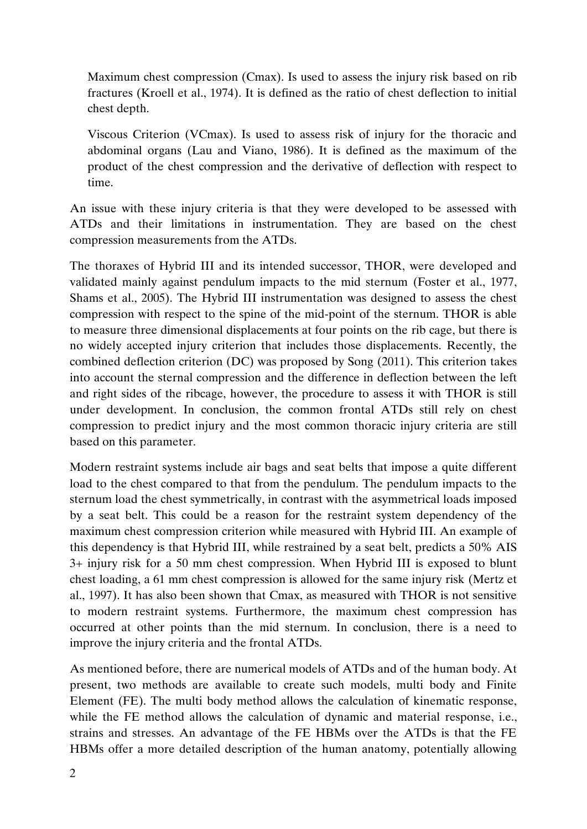Maximum chest compression (Cmax). Is used to assess the injury risk based on rib fractures (Kroell et al., 1974). It is defined as the ratio of chest deflection to initial chest depth.

Viscous Criterion (VCmax). Is used to assess risk of injury for the thoracic and abdominal organs (Lau and Viano, 1986). It is defined as the maximum of the product of the chest compression and the derivative of deflection with respect to time.

An issue with these injury criteria is that they were developed to be assessed with ATDs and their limitations in instrumentation. They are based on the chest compression measurements from the ATDs.

The thoraxes of Hybrid III and its intended successor, THOR, were developed and validated mainly against pendulum impacts to the mid sternum (Foster et al., 1977, Shams et al., 2005). The Hybrid III instrumentation was designed to assess the chest compression with respect to the spine of the mid-point of the sternum. THOR is able to measure three dimensional displacements at four points on the rib cage, but there is no widely accepted injury criterion that includes those displacements. Recently, the combined deflection criterion (DC) was proposed by Song (2011). This criterion takes into account the sternal compression and the difference in deflection between the left and right sides of the ribcage, however, the procedure to assess it with THOR is still under development. In conclusion, the common frontal ATDs still rely on chest compression to predict injury and the most common thoracic injury criteria are still based on this parameter.

Modern restraint systems include air bags and seat belts that impose a quite different load to the chest compared to that from the pendulum. The pendulum impacts to the sternum load the chest symmetrically, in contrast with the asymmetrical loads imposed by a seat belt. This could be a reason for the restraint system dependency of the maximum chest compression criterion while measured with Hybrid III. An example of this dependency is that Hybrid III, while restrained by a seat belt, predicts a 50% AIS 3+ injury risk for a 50 mm chest compression. When Hybrid III is exposed to blunt chest loading, a 61 mm chest compression is allowed for the same injury risk (Mertz et al., 1997). It has also been shown that Cmax, as measured with THOR is not sensitive to modern restraint systems. Furthermore, the maximum chest compression has occurred at other points than the mid sternum. In conclusion, there is a need to improve the injury criteria and the frontal ATDs.

As mentioned before, there are numerical models of ATDs and of the human body. At present, two methods are available to create such models, multi body and Finite Element (FE). The multi body method allows the calculation of kinematic response, while the FE method allows the calculation of dynamic and material response, i.e., strains and stresses. An advantage of the FE HBMs over the ATDs is that the FE HBMs offer a more detailed description of the human anatomy, potentially allowing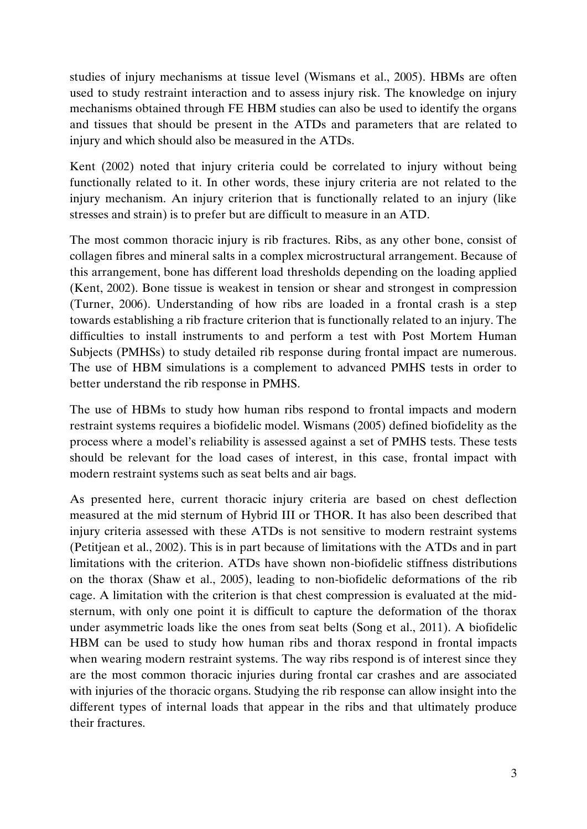studies of injury mechanisms at tissue level (Wismans et al., 2005). HBMs are often used to study restraint interaction and to assess injury risk. The knowledge on injury mechanisms obtained through FE HBM studies can also be used to identify the organs and tissues that should be present in the ATDs and parameters that are related to injury and which should also be measured in the ATDs.

Kent (2002) noted that injury criteria could be correlated to injury without being functionally related to it. In other words, these injury criteria are not related to the injury mechanism. An injury criterion that is functionally related to an injury (like stresses and strain) is to prefer but are difficult to measure in an ATD.

The most common thoracic injury is rib fractures. Ribs, as any other bone, consist of collagen fibres and mineral salts in a complex microstructural arrangement. Because of this arrangement, bone has different load thresholds depending on the loading applied (Kent, 2002). Bone tissue is weakest in tension or shear and strongest in compression (Turner, 2006). Understanding of how ribs are loaded in a frontal crash is a step towards establishing a rib fracture criterion that is functionally related to an injury. The difficulties to install instruments to and perform a test with Post Mortem Human Subjects (PMHSs) to study detailed rib response during frontal impact are numerous. The use of HBM simulations is a complement to advanced PMHS tests in order to better understand the rib response in PMHS.

The use of HBMs to study how human ribs respond to frontal impacts and modern restraint systems requires a biofidelic model. Wismans (2005) defined biofidelity as the process where a model's reliability is assessed against a set of PMHS tests. These tests should be relevant for the load cases of interest, in this case, frontal impact with modern restraint systems such as seat belts and air bags.

As presented here, current thoracic injury criteria are based on chest deflection measured at the mid sternum of Hybrid III or THOR. It has also been described that injury criteria assessed with these ATDs is not sensitive to modern restraint systems (Petitjean et al., 2002). This is in part because of limitations with the ATDs and in part limitations with the criterion. ATDs have shown non-biofidelic stiffness distributions on the thorax (Shaw et al., 2005), leading to non-biofidelic deformations of the rib cage. A limitation with the criterion is that chest compression is evaluated at the midsternum, with only one point it is difficult to capture the deformation of the thorax under asymmetric loads like the ones from seat belts (Song et al., 2011). A biofidelic HBM can be used to study how human ribs and thorax respond in frontal impacts when wearing modern restraint systems. The way ribs respond is of interest since they are the most common thoracic injuries during frontal car crashes and are associated with injuries of the thoracic organs. Studying the rib response can allow insight into the different types of internal loads that appear in the ribs and that ultimately produce their fractures.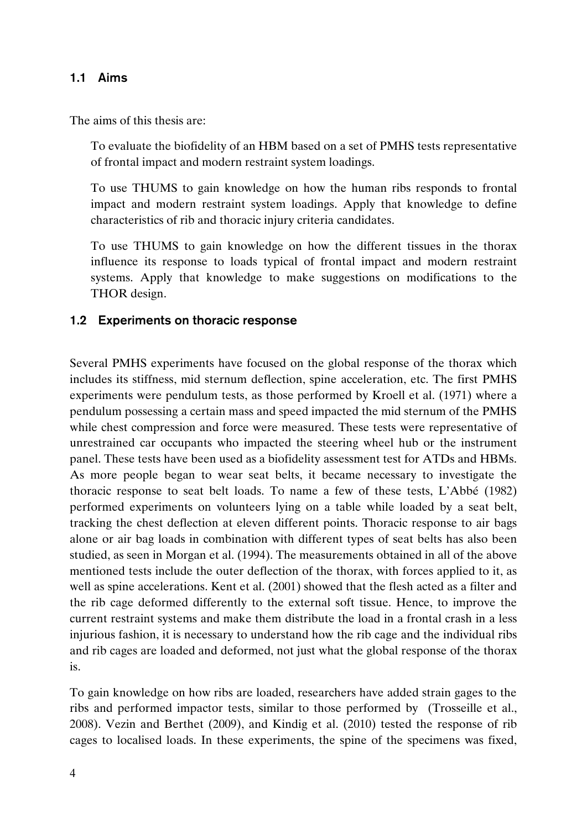#### <span id="page-11-0"></span>**1.1 Aims**

The aims of this thesis are:

To evaluate the biofidelity of an HBM based on a set of PMHS tests representative of frontal impact and modern restraint system loadings.

To use THUMS to gain knowledge on how the human ribs responds to frontal impact and modern restraint system loadings. Apply that knowledge to define characteristics of rib and thoracic injury criteria candidates.

To use THUMS to gain knowledge on how the different tissues in the thorax influence its response to loads typical of frontal impact and modern restraint systems. Apply that knowledge to make suggestions on modifications to the THOR design.

#### <span id="page-11-1"></span>**1.2 Experiments on thoracic response**

Several PMHS experiments have focused on the global response of the thorax which includes its stiffness, mid sternum deflection, spine acceleration, etc. The first PMHS experiments were pendulum tests, as those performed by Kroell et al. (1971) where a pendulum possessing a certain mass and speed impacted the mid sternum of the PMHS while chest compression and force were measured. These tests were representative of unrestrained car occupants who impacted the steering wheel hub or the instrument panel. These tests have been used as a biofidelity assessment test for ATDs and HBMs. As more people began to wear seat belts, it became necessary to investigate the thoracic response to seat belt loads. To name a few of these tests, L'Abbé (1982) performed experiments on volunteers lying on a table while loaded by a seat belt, tracking the chest deflection at eleven different points. Thoracic response to air bags alone or air bag loads in combination with different types of seat belts has also been studied, as seen in Morgan et al. (1994). The measurements obtained in all of the above mentioned tests include the outer deflection of the thorax, with forces applied to it, as well as spine accelerations. Kent et al. (2001) showed that the flesh acted as a filter and the rib cage deformed differently to the external soft tissue. Hence, to improve the current restraint systems and make them distribute the load in a frontal crash in a less injurious fashion, it is necessary to understand how the rib cage and the individual ribs and rib cages are loaded and deformed, not just what the global response of the thorax is.

To gain knowledge on how ribs are loaded, researchers have added strain gages to the ribs and performed impactor tests, similar to those performed by (Trosseille et al., 2008). Vezin and Berthet (2009), and Kindig et al. (2010) tested the response of rib cages to localised loads. In these experiments, the spine of the specimens was fixed,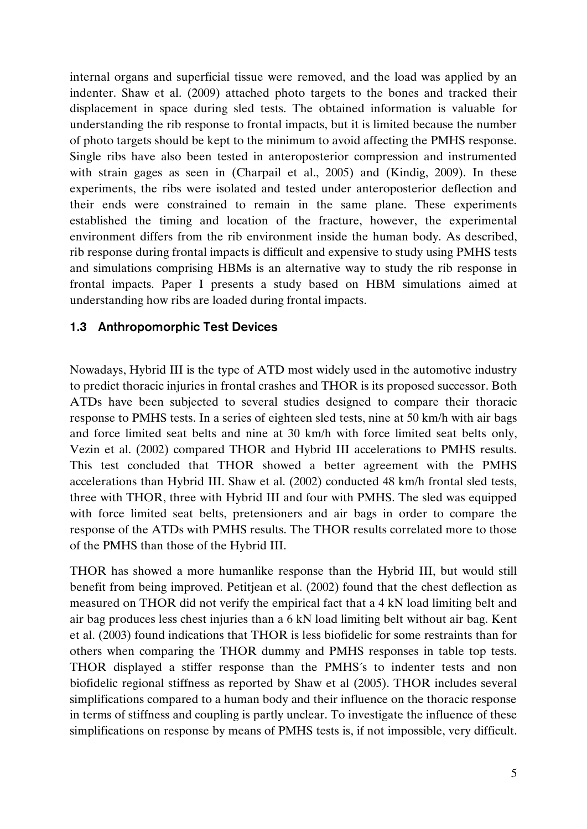internal organs and superficial tissue were removed, and the load was applied by an indenter. Shaw et al. (2009) attached photo targets to the bones and tracked their displacement in space during sled tests. The obtained information is valuable for understanding the rib response to frontal impacts, but it is limited because the number of photo targets should be kept to the minimum to avoid affecting the PMHS response. Single ribs have also been tested in anteroposterior compression and instrumented with strain gages as seen in (Charpail et al., 2005) and (Kindig, 2009). In these experiments, the ribs were isolated and tested under anteroposterior deflection and their ends were constrained to remain in the same plane. These experiments established the timing and location of the fracture, however, the experimental environment differs from the rib environment inside the human body. As described, rib response during frontal impacts is difficult and expensive to study using PMHS tests and simulations comprising HBMs is an alternative way to study the rib response in frontal impacts. Paper I presents a study based on HBM simulations aimed at understanding how ribs are loaded during frontal impacts.

#### <span id="page-12-0"></span>**1.3 Anthropomorphic Test Devices**

Nowadays, Hybrid III is the type of ATD most widely used in the automotive industry to predict thoracic injuries in frontal crashes and THOR is its proposed successor. Both ATDs have been subjected to several studies designed to compare their thoracic response to PMHS tests. In a series of eighteen sled tests, nine at 50 km/h with air bags and force limited seat belts and nine at 30 km/h with force limited seat belts only, Vezin et al. (2002) compared THOR and Hybrid III accelerations to PMHS results. This test concluded that THOR showed a better agreement with the PMHS accelerations than Hybrid III. Shaw et al. (2002) conducted 48 km/h frontal sled tests, three with THOR, three with Hybrid III and four with PMHS. The sled was equipped with force limited seat belts, pretensioners and air bags in order to compare the response of the ATDs with PMHS results. The THOR results correlated more to those of the PMHS than those of the Hybrid III.

THOR has showed a more humanlike response than the Hybrid III, but would still benefit from being improved. Petitjean et al. (2002) found that the chest deflection as measured on THOR did not verify the empirical fact that a 4 kN load limiting belt and air bag produces less chest injuries than a 6 kN load limiting belt without air bag. Kent et al. (2003) found indications that THOR is less biofidelic for some restraints than for others when comparing the THOR dummy and PMHS responses in table top tests. THOR displayed a stiffer response than the PMHS´s to indenter tests and non biofidelic regional stiffness as reported by Shaw et al (2005). THOR includes several simplifications compared to a human body and their influence on the thoracic response in terms of stiffness and coupling is partly unclear. To investigate the influence of these simplifications on response by means of PMHS tests is, if not impossible, very difficult.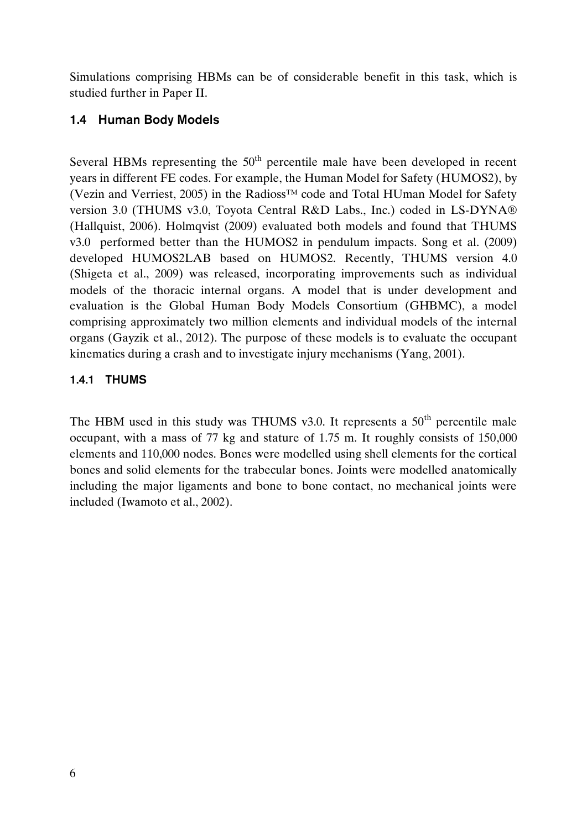Simulations comprising HBMs can be of considerable benefit in this task, which is studied further in Paper II.

#### <span id="page-13-0"></span>**1.4 Human Body Models**

Several HBMs representing the  $50<sup>th</sup>$  percentile male have been developed in recent years in different FE codes. For example, the Human Model for Safety (HUMOS2), by (Vezin and Verriest, 2005) in the Radioss™ code and Total HUman Model for Safety version 3.0 (THUMS v3.0, Toyota Central R&D Labs., Inc.) coded in LS-DYNA® (Hallquist, 2006). Holmqvist (2009) evaluated both models and found that THUMS v3.0 performed better than the HUMOS2 in pendulum impacts. Song et al. (2009) developed HUMOS2LAB based on HUMOS2. Recently, THUMS version 4.0 (Shigeta et al., 2009) was released, incorporating improvements such as individual models of the thoracic internal organs. A model that is under development and evaluation is the Global Human Body Models Consortium (GHBMC), a model comprising approximately two million elements and individual models of the internal organs (Gayzik et al., 2012). The purpose of these models is to evaluate the occupant kinematics during a crash and to investigate injury mechanisms (Yang, 2001).

#### <span id="page-13-1"></span>**1.4.1 THUMS**

The HBM used in this study was THUMS v3.0. It represents a  $50<sup>th</sup>$  percentile male occupant, with a mass of 77 kg and stature of 1.75 m. It roughly consists of 150,000 elements and 110,000 nodes. Bones were modelled using shell elements for the cortical bones and solid elements for the trabecular bones. Joints were modelled anatomically including the major ligaments and bone to bone contact, no mechanical joints were included (Iwamoto et al., 2002).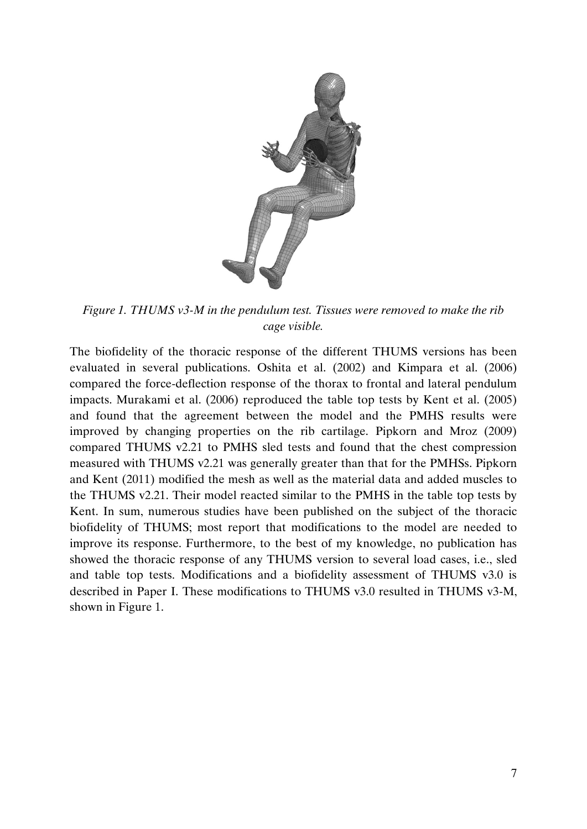

*Figure 1. THUMS v3-M in the pendulum test. Tissues were removed to make the rib cage visible.*

The biofidelity of the thoracic response of the different THUMS versions has been evaluated in several publications. Oshita et al. (2002) and Kimpara et al. (2006) compared the force-deflection response of the thorax to frontal and lateral pendulum impacts. Murakami et al. (2006) reproduced the table top tests by Kent et al. (2005) and found that the agreement between the model and the PMHS results were improved by changing properties on the rib cartilage. Pipkorn and Mroz (2009) compared THUMS v2.21 to PMHS sled tests and found that the chest compression measured with THUMS v2.21 was generally greater than that for the PMHSs. Pipkorn and Kent (2011) modified the mesh as well as the material data and added muscles to the THUMS v2.21. Their model reacted similar to the PMHS in the table top tests by Kent. In sum, numerous studies have been published on the subject of the thoracic biofidelity of THUMS; most report that modifications to the model are needed to improve its response. Furthermore, to the best of my knowledge, no publication has showed the thoracic response of any THUMS version to several load cases, i.e., sled and table top tests. Modifications and a biofidelity assessment of THUMS v3.0 is described in Paper I. These modifications to THUMS v3.0 resulted in THUMS v3-M, shown in Figure 1.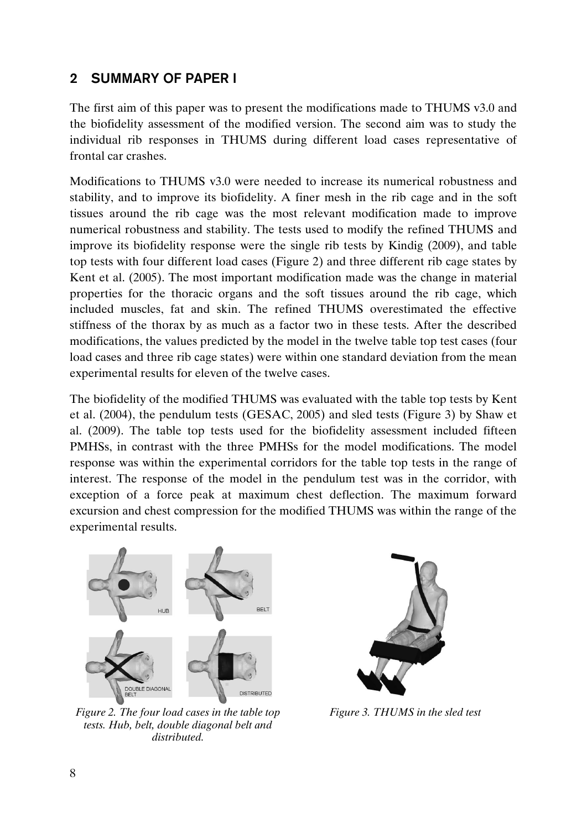## <span id="page-15-0"></span>**2 SUMMARY OF PAPER I**

The first aim of this paper was to present the modifications made to THUMS v3.0 and the biofidelity assessment of the modified version. The second aim was to study the individual rib responses in THUMS during different load cases representative of frontal car crashes.

Modifications to THUMS v3.0 were needed to increase its numerical robustness and stability, and to improve its biofidelity. A finer mesh in the rib cage and in the soft tissues around the rib cage was the most relevant modification made to improve numerical robustness and stability. The tests used to modify the refined THUMS and improve its biofidelity response were the single rib tests by Kindig (2009), and table top tests with four different load cases (Figure 2) and three different rib cage states by Kent et al. (2005). The most important modification made was the change in material properties for the thoracic organs and the soft tissues around the rib cage, which included muscles, fat and skin. The refined THUMS overestimated the effective stiffness of the thorax by as much as a factor two in these tests. After the described modifications, the values predicted by the model in the twelve table top test cases (four load cases and three rib cage states) were within one standard deviation from the mean experimental results for eleven of the twelve cases.

The biofidelity of the modified THUMS was evaluated with the table top tests by Kent et al. (2004), the pendulum tests (GESAC, 2005) and sled tests (Figure 3) by Shaw et al. (2009). The table top tests used for the biofidelity assessment included fifteen PMHSs, in contrast with the three PMHSs for the model modifications. The model response was within the experimental corridors for the table top tests in the range of interest. The response of the model in the pendulum test was in the corridor, with exception of a force peak at maximum chest deflection. The maximum forward excursion and chest compression for the modified THUMS was within the range of the experimental results.



*Figure 2. The four load cases in the table top tests. Hub, belt, double diagonal belt and distributed.*



*Figure 3. THUMS in the sled test*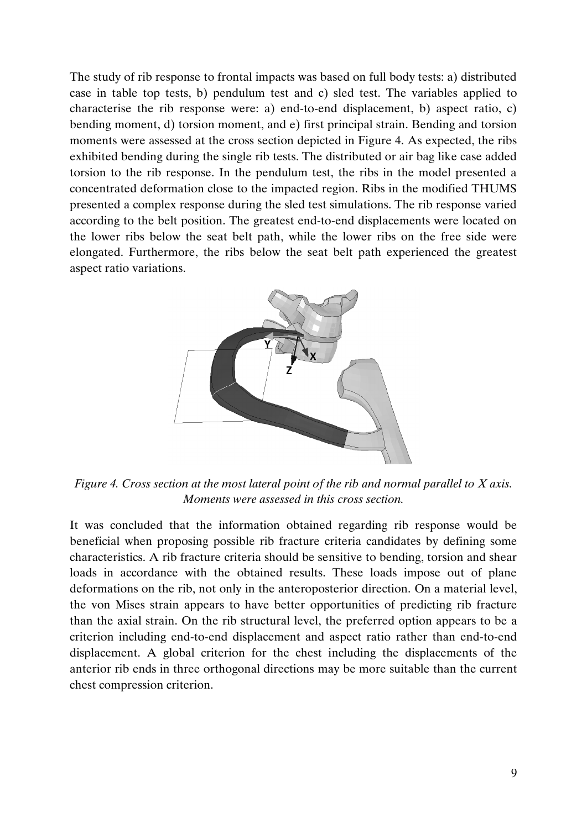The study of rib response to frontal impacts was based on full body tests: a) distributed case in table top tests, b) pendulum test and c) sled test. The variables applied to characterise the rib response were: a) end-to-end displacement, b) aspect ratio, c) bending moment, d) torsion moment, and e) first principal strain. Bending and torsion moments were assessed at the cross section depicted in Figure 4. As expected, the ribs exhibited bending during the single rib tests. The distributed or air bag like case added torsion to the rib response. In the pendulum test, the ribs in the model presented a concentrated deformation close to the impacted region. Ribs in the modified THUMS presented a complex response during the sled test simulations. The rib response varied according to the belt position. The greatest end-to-end displacements were located on the lower ribs below the seat belt path, while the lower ribs on the free side were elongated. Furthermore, the ribs below the seat belt path experienced the greatest aspect ratio variations.



*Figure 4. Cross section at the most lateral point of the rib and normal parallel to X axis. Moments were assessed in this cross section.*

It was concluded that the information obtained regarding rib response would be beneficial when proposing possible rib fracture criteria candidates by defining some characteristics. A rib fracture criteria should be sensitive to bending, torsion and shear loads in accordance with the obtained results. These loads impose out of plane deformations on the rib, not only in the anteroposterior direction. On a material level, the von Mises strain appears to have better opportunities of predicting rib fracture than the axial strain. On the rib structural level, the preferred option appears to be a criterion including end-to-end displacement and aspect ratio rather than end-to-end displacement. A global criterion for the chest including the displacements of the anterior rib ends in three orthogonal directions may be more suitable than the current chest compression criterion.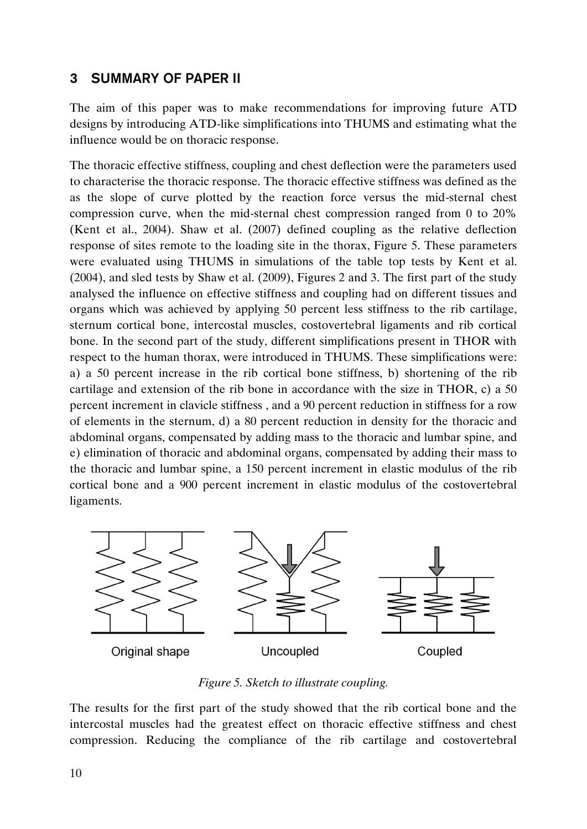## <span id="page-17-0"></span>**3 SUMMARY OF PAPER II**

The aim of this paper was to make recommendations for improving future ATD designs by introducing ATD-like simplifications into THUMS and estimating what the influence would be on thoracic response.

The thoracic effective stiffness, coupling and chest deflection were the parameters used to characterise the thoracic response. The thoracic effective stiffness was defined as the as the slope of curve plotted by the reaction force versus the mid-sternal chest compression curve, when the mid-sternal chest compression ranged from 0 to 20% (Kent et al., 2004). Shaw et al. (2007) defined coupling as the relative deflection response of sites remote to the loading site in the thorax, Figure 5. These parameters were evaluated using THUMS in simulations of the table top tests by Kent et al. (2004), and sled tests by Shaw et al. (2009), Figures 2 and 3. The first part of the study analysed the influence on effective stiffness and coupling had on different tissues and organs which was achieved by applying 50 percent less stiffness to the rib cartilage, sternum cortical bone, intercostal muscles, costovertebral ligaments and rib cortical bone. In the second part of the study, different simplifications present in THOR with respect to the human thorax, were introduced in THUMS. These simplifications were: a) a 50 percent increase in the rib cortical bone stiffness, b) shortening of the rib cartilage and extension of the rib bone in accordance with the size in THOR, c) a 50 percent increment in clavicle stiffness , and a 90 percent reduction in stiffness for a row of elements in the sternum, d) a 80 percent reduction in density for the thoracic and abdominal organs, compensated by adding mass to the thoracic and lumbar spine, and e) elimination of thoracic and abdominal organs, compensated by adding their mass to the thoracic and lumbar spine, a 150 percent increment in elastic modulus of the rib cortical bone and a 900 percent increment in elastic modulus of the costovertebral ligaments.



*Figure 5. Sketch to illustrate coupling.*

The results for the first part of the study showed that the rib cortical bone and the intercostal muscles had the greatest effect on thoracic effective stiffness and chest compression. Reducing the compliance of the rib cartilage and costovertebral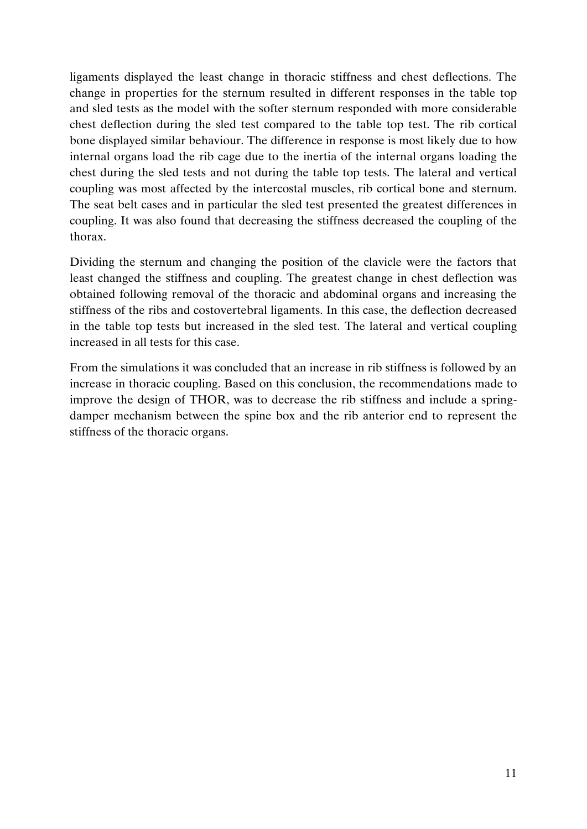ligaments displayed the least change in thoracic stiffness and chest deflections. The change in properties for the sternum resulted in different responses in the table top and sled tests as the model with the softer sternum responded with more considerable chest deflection during the sled test compared to the table top test. The rib cortical bone displayed similar behaviour. The difference in response is most likely due to how internal organs load the rib cage due to the inertia of the internal organs loading the chest during the sled tests and not during the table top tests. The lateral and vertical coupling was most affected by the intercostal muscles, rib cortical bone and sternum. The seat belt cases and in particular the sled test presented the greatest differences in coupling. It was also found that decreasing the stiffness decreased the coupling of the thorax.

Dividing the sternum and changing the position of the clavicle were the factors that least changed the stiffness and coupling. The greatest change in chest deflection was obtained following removal of the thoracic and abdominal organs and increasing the stiffness of the ribs and costovertebral ligaments. In this case, the deflection decreased in the table top tests but increased in the sled test. The lateral and vertical coupling increased in all tests for this case.

From the simulations it was concluded that an increase in rib stiffness is followed by an increase in thoracic coupling. Based on this conclusion, the recommendations made to improve the design of THOR, was to decrease the rib stiffness and include a springdamper mechanism between the spine box and the rib anterior end to represent the stiffness of the thoracic organs.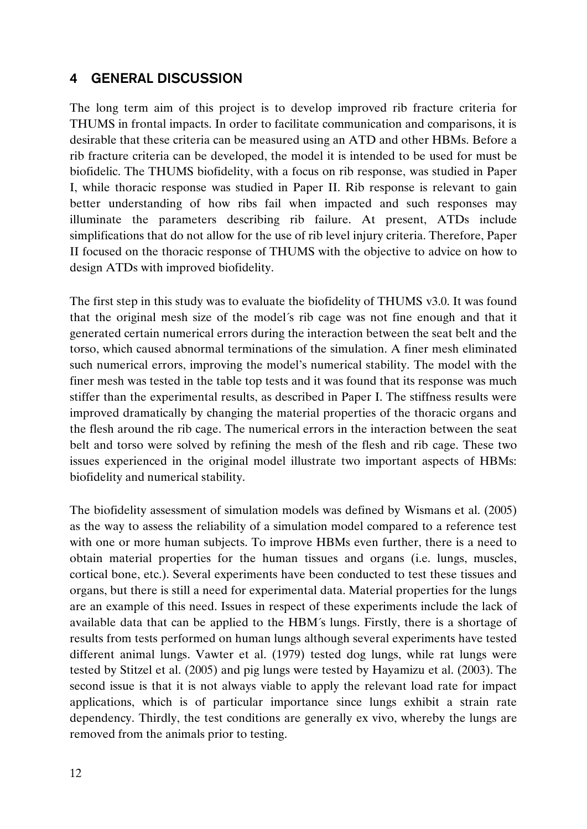#### <span id="page-19-0"></span>**4 GENERAL DISCUSSION**

The long term aim of this project is to develop improved rib fracture criteria for THUMS in frontal impacts. In order to facilitate communication and comparisons, it is desirable that these criteria can be measured using an ATD and other HBMs. Before a rib fracture criteria can be developed, the model it is intended to be used for must be biofidelic. The THUMS biofidelity, with a focus on rib response, was studied in Paper I, while thoracic response was studied in Paper II. Rib response is relevant to gain better understanding of how ribs fail when impacted and such responses may illuminate the parameters describing rib failure. At present, ATDs include simplifications that do not allow for the use of rib level injury criteria. Therefore, Paper II focused on the thoracic response of THUMS with the objective to advice on how to design ATDs with improved biofidelity.

The first step in this study was to evaluate the biofidelity of THUMS v3.0. It was found that the original mesh size of the model´s rib cage was not fine enough and that it generated certain numerical errors during the interaction between the seat belt and the torso, which caused abnormal terminations of the simulation. A finer mesh eliminated such numerical errors, improving the model's numerical stability. The model with the finer mesh was tested in the table top tests and it was found that its response was much stiffer than the experimental results, as described in Paper I. The stiffness results were improved dramatically by changing the material properties of the thoracic organs and the flesh around the rib cage. The numerical errors in the interaction between the seat belt and torso were solved by refining the mesh of the flesh and rib cage. These two issues experienced in the original model illustrate two important aspects of HBMs: biofidelity and numerical stability.

The biofidelity assessment of simulation models was defined by Wismans et al. (2005) as the way to assess the reliability of a simulation model compared to a reference test with one or more human subjects. To improve HBMs even further, there is a need to obtain material properties for the human tissues and organs (i.e. lungs, muscles, cortical bone, etc.). Several experiments have been conducted to test these tissues and organs, but there is still a need for experimental data. Material properties for the lungs are an example of this need. Issues in respect of these experiments include the lack of available data that can be applied to the HBM´s lungs. Firstly, there is a shortage of results from tests performed on human lungs although several experiments have tested different animal lungs. Vawter et al. (1979) tested dog lungs, while rat lungs were tested by Stitzel et al. (2005) and pig lungs were tested by Hayamizu et al. (2003). The second issue is that it is not always viable to apply the relevant load rate for impact applications, which is of particular importance since lungs exhibit a strain rate dependency. Thirdly, the test conditions are generally ex vivo, whereby the lungs are removed from the animals prior to testing.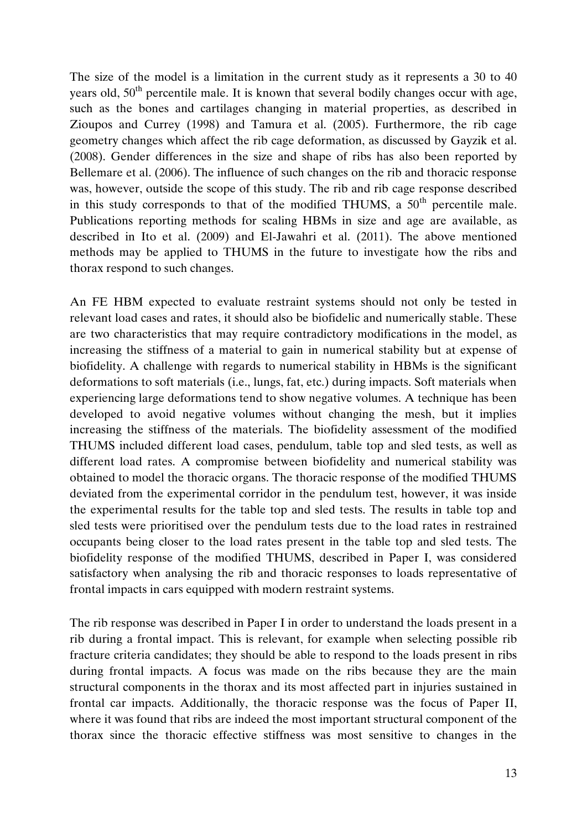The size of the model is a limitation in the current study as it represents a 30 to 40 years old,  $50<sup>th</sup>$  percentile male. It is known that several bodily changes occur with age, such as the bones and cartilages changing in material properties, as described in Zioupos and Currey (1998) and Tamura et al. (2005). Furthermore, the rib cage geometry changes which affect the rib cage deformation, as discussed by Gayzik et al. (2008). Gender differences in the size and shape of ribs has also been reported by Bellemare et al. (2006). The influence of such changes on the rib and thoracic response was, however, outside the scope of this study. The rib and rib cage response described in this study corresponds to that of the modified THUMS, a  $50<sup>th</sup>$  percentile male. Publications reporting methods for scaling HBMs in size and age are available, as described in Ito et al. (2009) and El-Jawahri et al. (2011). The above mentioned methods may be applied to THUMS in the future to investigate how the ribs and thorax respond to such changes.

An FE HBM expected to evaluate restraint systems should not only be tested in relevant load cases and rates, it should also be biofidelic and numerically stable. These are two characteristics that may require contradictory modifications in the model, as increasing the stiffness of a material to gain in numerical stability but at expense of biofidelity. A challenge with regards to numerical stability in HBMs is the significant deformations to soft materials (i.e., lungs, fat, etc.) during impacts. Soft materials when experiencing large deformations tend to show negative volumes. A technique has been developed to avoid negative volumes without changing the mesh, but it implies increasing the stiffness of the materials. The biofidelity assessment of the modified THUMS included different load cases, pendulum, table top and sled tests, as well as different load rates. A compromise between biofidelity and numerical stability was obtained to model the thoracic organs. The thoracic response of the modified THUMS deviated from the experimental corridor in the pendulum test, however, it was inside the experimental results for the table top and sled tests. The results in table top and sled tests were prioritised over the pendulum tests due to the load rates in restrained occupants being closer to the load rates present in the table top and sled tests. The biofidelity response of the modified THUMS, described in Paper I, was considered satisfactory when analysing the rib and thoracic responses to loads representative of frontal impacts in cars equipped with modern restraint systems.

The rib response was described in Paper I in order to understand the loads present in a rib during a frontal impact. This is relevant, for example when selecting possible rib fracture criteria candidates; they should be able to respond to the loads present in ribs during frontal impacts. A focus was made on the ribs because they are the main structural components in the thorax and its most affected part in injuries sustained in frontal car impacts. Additionally, the thoracic response was the focus of Paper II, where it was found that ribs are indeed the most important structural component of the thorax since the thoracic effective stiffness was most sensitive to changes in the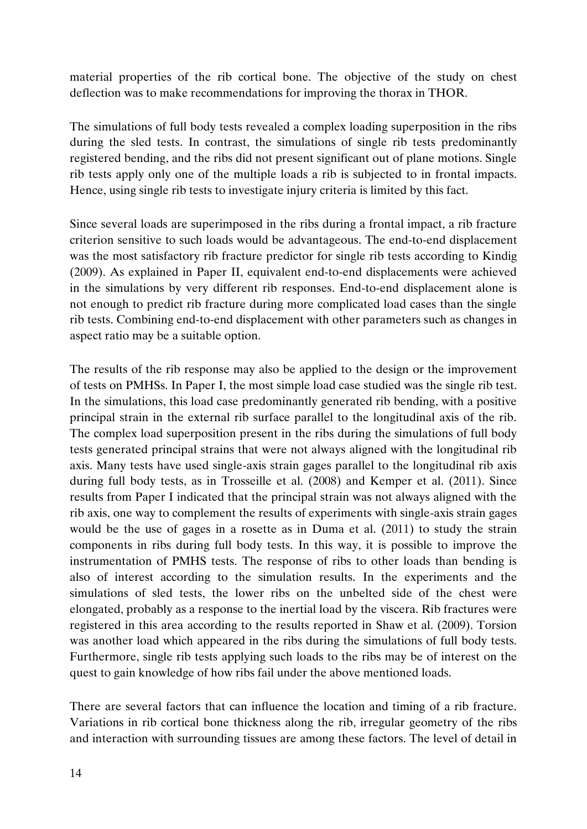material properties of the rib cortical bone. The objective of the study on chest deflection was to make recommendations for improving the thorax in THOR.

The simulations of full body tests revealed a complex loading superposition in the ribs during the sled tests. In contrast, the simulations of single rib tests predominantly registered bending, and the ribs did not present significant out of plane motions. Single rib tests apply only one of the multiple loads a rib is subjected to in frontal impacts. Hence, using single rib tests to investigate injury criteria is limited by this fact.

Since several loads are superimposed in the ribs during a frontal impact, a rib fracture criterion sensitive to such loads would be advantageous. The end-to-end displacement was the most satisfactory rib fracture predictor for single rib tests according to Kindig (2009). As explained in Paper II, equivalent end-to-end displacements were achieved in the simulations by very different rib responses. End-to-end displacement alone is not enough to predict rib fracture during more complicated load cases than the single rib tests. Combining end-to-end displacement with other parameters such as changes in aspect ratio may be a suitable option.

The results of the rib response may also be applied to the design or the improvement of tests on PMHSs. In Paper I, the most simple load case studied was the single rib test. In the simulations, this load case predominantly generated rib bending, with a positive principal strain in the external rib surface parallel to the longitudinal axis of the rib. The complex load superposition present in the ribs during the simulations of full body tests generated principal strains that were not always aligned with the longitudinal rib axis. Many tests have used single-axis strain gages parallel to the longitudinal rib axis during full body tests, as in Trosseille et al. (2008) and Kemper et al. (2011). Since results from Paper I indicated that the principal strain was not always aligned with the rib axis, one way to complement the results of experiments with single-axis strain gages would be the use of gages in a rosette as in Duma et al. (2011) to study the strain components in ribs during full body tests. In this way, it is possible to improve the instrumentation of PMHS tests. The response of ribs to other loads than bending is also of interest according to the simulation results. In the experiments and the simulations of sled tests, the lower ribs on the unbelted side of the chest were elongated, probably as a response to the inertial load by the viscera. Rib fractures were registered in this area according to the results reported in Shaw et al. (2009). Torsion was another load which appeared in the ribs during the simulations of full body tests. Furthermore, single rib tests applying such loads to the ribs may be of interest on the quest to gain knowledge of how ribs fail under the above mentioned loads.

There are several factors that can influence the location and timing of a rib fracture. Variations in rib cortical bone thickness along the rib, irregular geometry of the ribs and interaction with surrounding tissues are among these factors. The level of detail in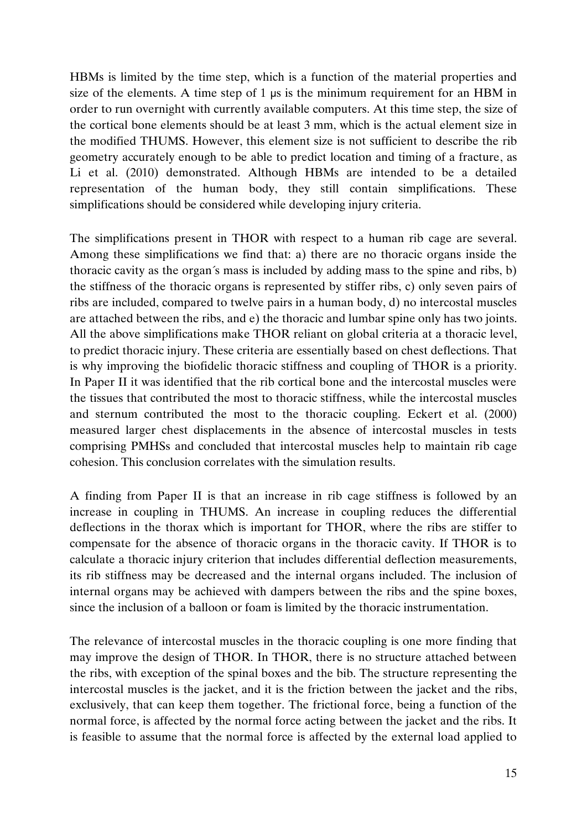HBMs is limited by the time step, which is a function of the material properties and size of the elements. A time step of 1 μs is the minimum requirement for an HBM in order to run overnight with currently available computers. At this time step, the size of the cortical bone elements should be at least 3 mm, which is the actual element size in the modified THUMS. However, this element size is not sufficient to describe the rib geometry accurately enough to be able to predict location and timing of a fracture, as Li et al. (2010) demonstrated. Although HBMs are intended to be a detailed representation of the human body, they still contain simplifications. These simplifications should be considered while developing injury criteria.

The simplifications present in THOR with respect to a human rib cage are several. Among these simplifications we find that: a) there are no thoracic organs inside the thoracic cavity as the organ´s mass is included by adding mass to the spine and ribs, b) the stiffness of the thoracic organs is represented by stiffer ribs, c) only seven pairs of ribs are included, compared to twelve pairs in a human body, d) no intercostal muscles are attached between the ribs, and e) the thoracic and lumbar spine only has two joints. All the above simplifications make THOR reliant on global criteria at a thoracic level, to predict thoracic injury. These criteria are essentially based on chest deflections. That is why improving the biofidelic thoracic stiffness and coupling of THOR is a priority. In Paper II it was identified that the rib cortical bone and the intercostal muscles were the tissues that contributed the most to thoracic stiffness, while the intercostal muscles and sternum contributed the most to the thoracic coupling. Eckert et al. (2000) measured larger chest displacements in the absence of intercostal muscles in tests comprising PMHSs and concluded that intercostal muscles help to maintain rib cage cohesion. This conclusion correlates with the simulation results.

A finding from Paper II is that an increase in rib cage stiffness is followed by an increase in coupling in THUMS. An increase in coupling reduces the differential deflections in the thorax which is important for THOR, where the ribs are stiffer to compensate for the absence of thoracic organs in the thoracic cavity. If THOR is to calculate a thoracic injury criterion that includes differential deflection measurements, its rib stiffness may be decreased and the internal organs included. The inclusion of internal organs may be achieved with dampers between the ribs and the spine boxes, since the inclusion of a balloon or foam is limited by the thoracic instrumentation.

The relevance of intercostal muscles in the thoracic coupling is one more finding that may improve the design of THOR. In THOR, there is no structure attached between the ribs, with exception of the spinal boxes and the bib. The structure representing the intercostal muscles is the jacket, and it is the friction between the jacket and the ribs, exclusively, that can keep them together. The frictional force, being a function of the normal force, is affected by the normal force acting between the jacket and the ribs. It is feasible to assume that the normal force is affected by the external load applied to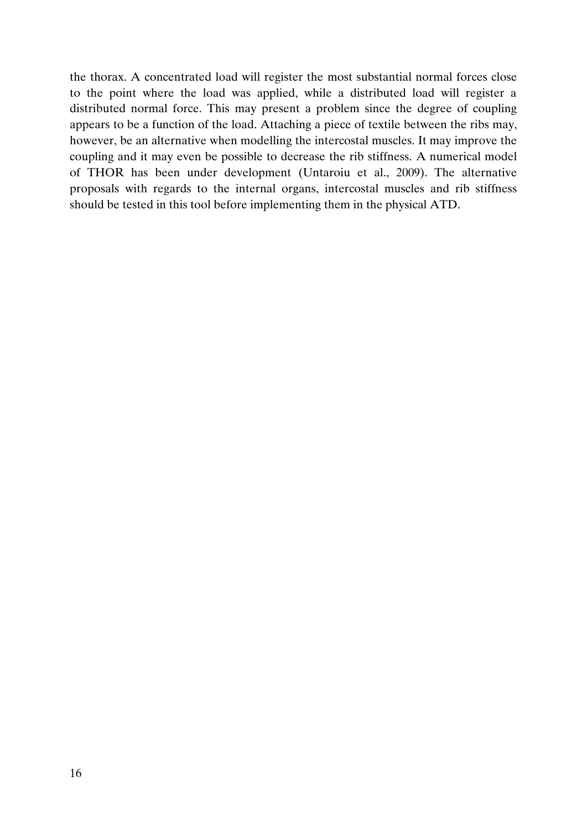the thorax. A concentrated load will register the most substantial normal forces close to the point where the load was applied, while a distributed load will register a distributed normal force. This may present a problem since the degree of coupling appears to be a function of the load. Attaching a piece of textile between the ribs may, however, be an alternative when modelling the intercostal muscles. It may improve the coupling and it may even be possible to decrease the rib stiffness. A numerical model of THOR has been under development (Untaroiu et al., 2009). The alternative proposals with regards to the internal organs, intercostal muscles and rib stiffness should be tested in this tool before implementing them in the physical ATD.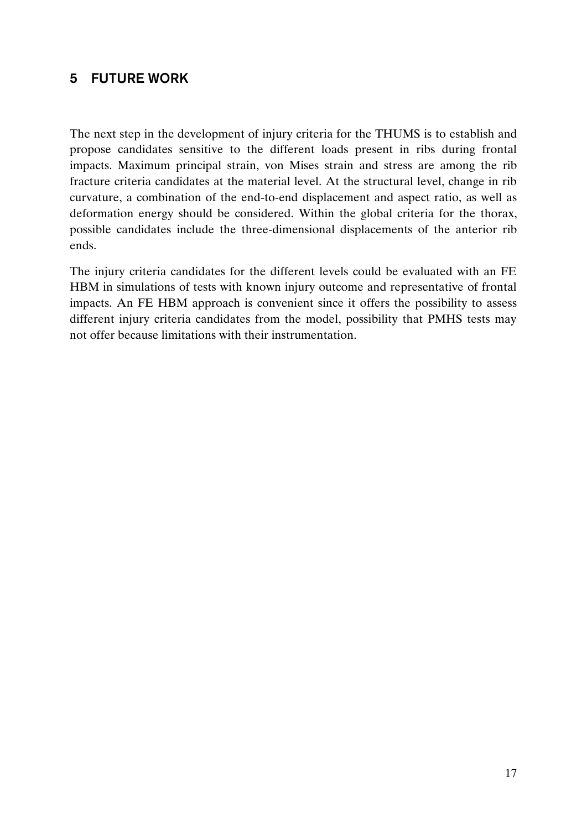## <span id="page-24-0"></span>**5 FUTURE WORK**

The next step in the development of injury criteria for the THUMS is to establish and propose candidates sensitive to the different loads present in ribs during frontal impacts. Maximum principal strain, von Mises strain and stress are among the rib fracture criteria candidates at the material level. At the structural level, change in rib curvature, a combination of the end-to-end displacement and aspect ratio, as well as deformation energy should be considered. Within the global criteria for the thorax, possible candidates include the three-dimensional displacements of the anterior rib ends.

The injury criteria candidates for the different levels could be evaluated with an FE HBM in simulations of tests with known injury outcome and representative of frontal impacts. An FE HBM approach is convenient since it offers the possibility to assess different injury criteria candidates from the model, possibility that PMHS tests may not offer because limitations with their instrumentation.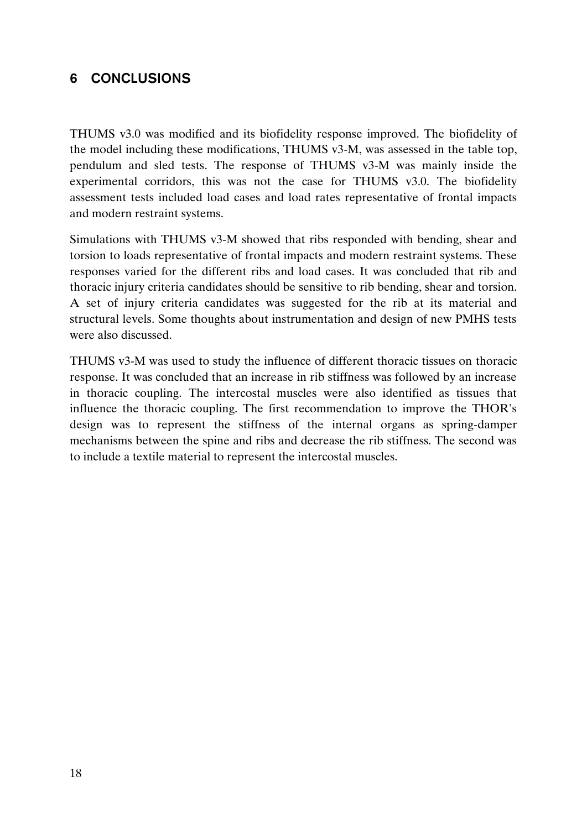## <span id="page-25-0"></span>**6 CONCLUSIONS**

THUMS v3.0 was modified and its biofidelity response improved. The biofidelity of the model including these modifications, THUMS v3-M, was assessed in the table top, pendulum and sled tests. The response of THUMS v3-M was mainly inside the experimental corridors, this was not the case for THUMS v3.0. The biofidelity assessment tests included load cases and load rates representative of frontal impacts and modern restraint systems.

Simulations with THUMS v3-M showed that ribs responded with bending, shear and torsion to loads representative of frontal impacts and modern restraint systems. These responses varied for the different ribs and load cases. It was concluded that rib and thoracic injury criteria candidates should be sensitive to rib bending, shear and torsion. A set of injury criteria candidates was suggested for the rib at its material and structural levels. Some thoughts about instrumentation and design of new PMHS tests were also discussed.

THUMS v3-M was used to study the influence of different thoracic tissues on thoracic response. It was concluded that an increase in rib stiffness was followed by an increase in thoracic coupling. The intercostal muscles were also identified as tissues that influence the thoracic coupling. The first recommendation to improve the THOR's design was to represent the stiffness of the internal organs as spring-damper mechanisms between the spine and ribs and decrease the rib stiffness. The second was to include a textile material to represent the intercostal muscles.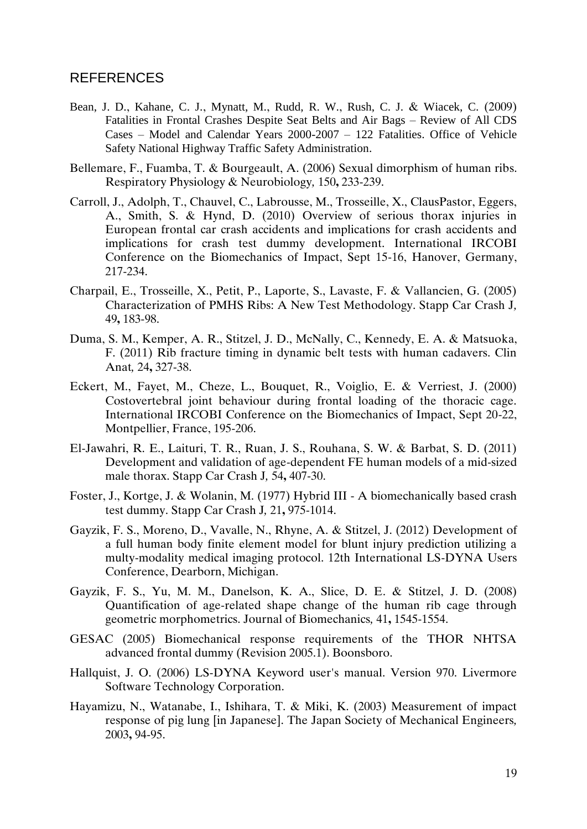#### <span id="page-26-0"></span>REFERENCES

- Bean, J. D., Kahane, C. J., Mynatt, M., Rudd, R. W., Rush, C. J. & Wiacek, C. (2009) Fatalities in Frontal Crashes Despite Seat Belts and Air Bags – Review of All CDS Cases – Model and Calendar Years 2000-2007 – 122 Fatalities. Office of Vehicle Safety National Highway Traffic Safety Administration.
- Bellemare, F., Fuamba, T. & Bourgeault, A. (2006) Sexual dimorphism of human ribs. Respiratory Physiology & Neurobiology*,* 150**,** 233-239.
- Carroll, J., Adolph, T., Chauvel, C., Labrousse, M., Trosseille, X., ClausPastor, Eggers, A., Smith, S. & Hynd, D. (2010) Overview of serious thorax injuries in European frontal car crash accidents and implications for crash accidents and implications for crash test dummy development. International IRCOBI Conference on the Biomechanics of Impact, Sept 15-16, Hanover, Germany, 217-234.
- Charpail, E., Trosseille, X., Petit, P., Laporte, S., Lavaste, F. & Vallancien, G. (2005) Characterization of PMHS Ribs: A New Test Methodology. Stapp Car Crash J*,* 49**,** 183-98.
- Duma, S. M., Kemper, A. R., Stitzel, J. D., McNally, C., Kennedy, E. A. & Matsuoka, F. (2011) Rib fracture timing in dynamic belt tests with human cadavers. Clin Anat*,* 24**,** 327-38.
- Eckert, M., Fayet, M., Cheze, L., Bouquet, R., Voiglio, E. & Verriest, J. (2000) Costovertebral joint behaviour during frontal loading of the thoracic cage. International IRCOBI Conference on the Biomechanics of Impact, Sept 20-22, Montpellier, France, 195-206.
- El-Jawahri, R. E., Laituri, T. R., Ruan, J. S., Rouhana, S. W. & Barbat, S. D. (2011) Development and validation of age-dependent FE human models of a mid-sized male thorax. Stapp Car Crash J*,* 54**,** 407-30.
- Foster, J., Kortge, J. & Wolanin, M. (1977) Hybrid III A biomechanically based crash test dummy. Stapp Car Crash J*,* 21**,** 975-1014.
- Gayzik, F. S., Moreno, D., Vavalle, N., Rhyne, A. & Stitzel, J. (2012) Development of a full human body finite element model for blunt injury prediction utilizing a multy-modality medical imaging protocol. 12th International LS-DYNA Users Conference, Dearborn, Michigan.
- Gayzik, F. S., Yu, M. M., Danelson, K. A., Slice, D. E. & Stitzel, J. D. (2008) Quantification of age-related shape change of the human rib cage through geometric morphometrics. Journal of Biomechanics*,* 41**,** 1545-1554.
- GESAC (2005) Biomechanical response requirements of the THOR NHTSA advanced frontal dummy (Revision 2005.1). Boonsboro.
- Hallquist, J. O. (2006) LS-DYNA Keyword user's manual. Version 970. Livermore Software Technology Corporation.
- Hayamizu, N., Watanabe, I., Ishihara, T. & Miki, K. (2003) Measurement of impact response of pig lung [in Japanese]. The Japan Society of Mechanical Engineers*,* 2003**,** 94-95.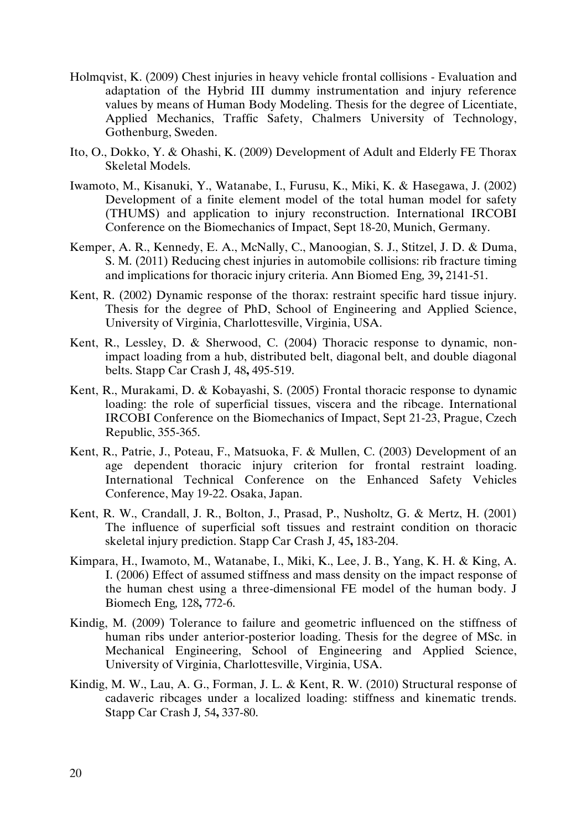- Holmqvist, K. (2009) Chest injuries in heavy vehicle frontal collisions Evaluation and adaptation of the Hybrid III dummy instrumentation and injury reference values by means of Human Body Modeling. Thesis for the degree of Licentiate, Applied Mechanics, Traffic Safety, Chalmers University of Technology, Gothenburg, Sweden.
- Ito, O., Dokko, Y. & Ohashi, K. (2009) Development of Adult and Elderly FE Thorax Skeletal Models.
- Iwamoto, M., Kisanuki, Y., Watanabe, I., Furusu, K., Miki, K. & Hasegawa, J. (2002) Development of a finite element model of the total human model for safety (THUMS) and application to injury reconstruction. International IRCOBI Conference on the Biomechanics of Impact, Sept 18-20, Munich, Germany.
- Kemper, A. R., Kennedy, E. A., McNally, C., Manoogian, S. J., Stitzel, J. D. & Duma, S. M. (2011) Reducing chest injuries in automobile collisions: rib fracture timing and implications for thoracic injury criteria. Ann Biomed Eng*,* 39**,** 2141-51.
- Kent, R. (2002) Dynamic response of the thorax: restraint specific hard tissue injury. Thesis for the degree of PhD, School of Engineering and Applied Science, University of Virginia, Charlottesville, Virginia, USA.
- Kent, R., Lessley, D. & Sherwood, C. (2004) Thoracic response to dynamic, nonimpact loading from a hub, distributed belt, diagonal belt, and double diagonal belts. Stapp Car Crash J*,* 48**,** 495-519.
- Kent, R., Murakami, D. & Kobayashi, S. (2005) Frontal thoracic response to dynamic loading: the role of superficial tissues, viscera and the ribcage. International IRCOBI Conference on the Biomechanics of Impact, Sept 21-23, Prague, Czech Republic, 355-365.
- Kent, R., Patrie, J., Poteau, F., Matsuoka, F. & Mullen, C. (2003) Development of an age dependent thoracic injury criterion for frontal restraint loading. International Technical Conference on the Enhanced Safety Vehicles Conference, May 19-22. Osaka, Japan.
- Kent, R. W., Crandall, J. R., Bolton, J., Prasad, P., Nusholtz, G. & Mertz, H. (2001) The influence of superficial soft tissues and restraint condition on thoracic skeletal injury prediction. Stapp Car Crash J*,* 45**,** 183-204.
- Kimpara, H., Iwamoto, M., Watanabe, I., Miki, K., Lee, J. B., Yang, K. H. & King, A. I. (2006) Effect of assumed stiffness and mass density on the impact response of the human chest using a three-dimensional FE model of the human body. J Biomech Eng*,* 128**,** 772-6.
- Kindig, M. (2009) Tolerance to failure and geometric influenced on the stiffness of human ribs under anterior-posterior loading. Thesis for the degree of MSc. in Mechanical Engineering, School of Engineering and Applied Science, University of Virginia, Charlottesville, Virginia, USA.
- Kindig, M. W., Lau, A. G., Forman, J. L. & Kent, R. W. (2010) Structural response of cadaveric ribcages under a localized loading: stiffness and kinematic trends. Stapp Car Crash J*,* 54**,** 337-80.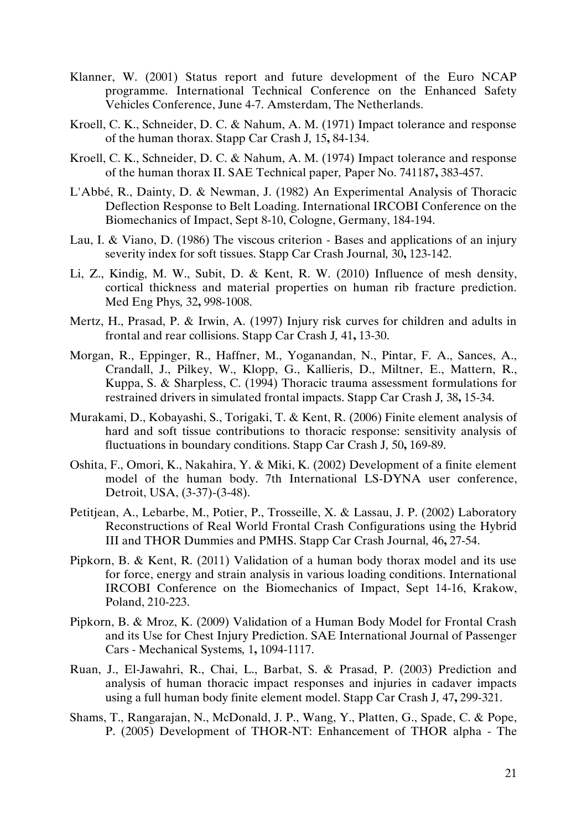- Klanner, W. (2001) Status report and future development of the Euro NCAP programme. International Technical Conference on the Enhanced Safety Vehicles Conference, June 4-7. Amsterdam, The Netherlands.
- Kroell, C. K., Schneider, D. C. & Nahum, A. M. (1971) Impact tolerance and response of the human thorax. Stapp Car Crash J*,* 15**,** 84-134.
- Kroell, C. K., Schneider, D. C. & Nahum, A. M. (1974) Impact tolerance and response of the human thorax II. SAE Technical paper*,* Paper No. 741187**,** 383-457.
- L'Abbé, R., Dainty, D. & Newman, J. (1982) An Experimental Analysis of Thoracic Deflection Response to Belt Loading. International IRCOBI Conference on the Biomechanics of Impact, Sept 8-10, Cologne, Germany, 184-194.
- Lau, I. & Viano, D. (1986) The viscous criterion Bases and applications of an injury severity index for soft tissues. Stapp Car Crash Journal*,* 30**,** 123-142.
- Li, Z., Kindig, M. W., Subit, D. & Kent, R. W. (2010) Influence of mesh density, cortical thickness and material properties on human rib fracture prediction. Med Eng Phys*,* 32**,** 998-1008.
- Mertz, H., Prasad, P. & Irwin, A. (1997) Injury risk curves for children and adults in frontal and rear collisions. Stapp Car Crash J*,* 41**,** 13-30.
- Morgan, R., Eppinger, R., Haffner, M., Yoganandan, N., Pintar, F. A., Sances, A., Crandall, J., Pilkey, W., Klopp, G., Kallieris, D., Miltner, E., Mattern, R., Kuppa, S. & Sharpless, C. (1994) Thoracic trauma assessment formulations for restrained drivers in simulated frontal impacts. Stapp Car Crash J*,* 38**,** 15-34.
- Murakami, D., Kobayashi, S., Torigaki, T. & Kent, R. (2006) Finite element analysis of hard and soft tissue contributions to thoracic response: sensitivity analysis of fluctuations in boundary conditions. Stapp Car Crash J*,* 50**,** 169-89.
- Oshita, F., Omori, K., Nakahira, Y. & Miki, K. (2002) Development of a finite element model of the human body. 7th International LS-DYNA user conference, Detroit, USA, (3-37)-(3-48).
- Petitjean, A., Lebarbe, M., Potier, P., Trosseille, X. & Lassau, J. P. (2002) Laboratory Reconstructions of Real World Frontal Crash Configurations using the Hybrid III and THOR Dummies and PMHS. Stapp Car Crash Journal*,* 46**,** 27-54.
- Pipkorn, B. & Kent, R. (2011) Validation of a human body thorax model and its use for force, energy and strain analysis in various loading conditions. International IRCOBI Conference on the Biomechanics of Impact, Sept 14-16, Krakow, Poland, 210-223.
- Pipkorn, B. & Mroz, K. (2009) Validation of a Human Body Model for Frontal Crash and its Use for Chest Injury Prediction. SAE International Journal of Passenger Cars - Mechanical Systems*,* 1**,** 1094-1117.
- Ruan, J., El-Jawahri, R., Chai, L., Barbat, S. & Prasad, P. (2003) Prediction and analysis of human thoracic impact responses and injuries in cadaver impacts using a full human body finite element model. Stapp Car Crash J*,* 47**,** 299-321.
- Shams, T., Rangarajan, N., McDonald, J. P., Wang, Y., Platten, G., Spade, C. & Pope, P. (2005) Development of THOR-NT: Enhancement of THOR alpha - The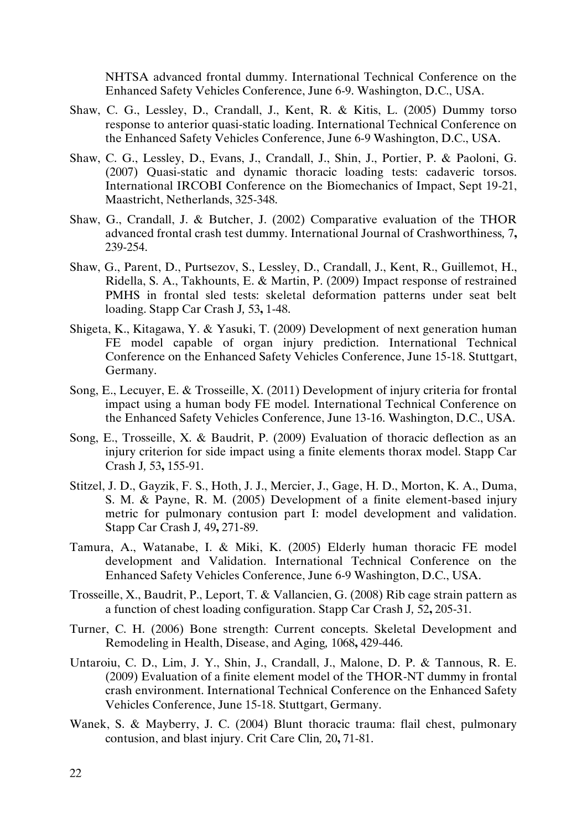NHTSA advanced frontal dummy. International Technical Conference on the Enhanced Safety Vehicles Conference, June 6-9. Washington, D.C., USA.

- Shaw, C. G., Lessley, D., Crandall, J., Kent, R. & Kitis, L. (2005) Dummy torso response to anterior quasi-static loading. International Technical Conference on the Enhanced Safety Vehicles Conference, June 6-9 Washington, D.C., USA.
- Shaw, C. G., Lessley, D., Evans, J., Crandall, J., Shin, J., Portier, P. & Paoloni, G. (2007) Quasi-static and dynamic thoracic loading tests: cadaveric torsos. International IRCOBI Conference on the Biomechanics of Impact, Sept 19-21, Maastricht, Netherlands, 325-348.
- Shaw, G., Crandall, J. & Butcher, J. (2002) Comparative evaluation of the THOR advanced frontal crash test dummy. International Journal of Crashworthiness*,* 7**,** 239-254.
- Shaw, G., Parent, D., Purtsezov, S., Lessley, D., Crandall, J., Kent, R., Guillemot, H., Ridella, S. A., Takhounts, E. & Martin, P. (2009) Impact response of restrained PMHS in frontal sled tests: skeletal deformation patterns under seat belt loading. Stapp Car Crash J*,* 53**,** 1-48.
- Shigeta, K., Kitagawa, Y. & Yasuki, T. (2009) Development of next generation human FE model capable of organ injury prediction. International Technical Conference on the Enhanced Safety Vehicles Conference, June 15-18. Stuttgart, Germany.
- Song, E., Lecuyer, E. & Trosseille, X. (2011) Development of injury criteria for frontal impact using a human body FE model. International Technical Conference on the Enhanced Safety Vehicles Conference, June 13-16. Washington, D.C., USA.
- Song, E., Trosseille, X. & Baudrit, P. (2009) Evaluation of thoracic deflection as an injury criterion for side impact using a finite elements thorax model. Stapp Car Crash J*,* 53**,** 155-91.
- Stitzel, J. D., Gayzik, F. S., Hoth, J. J., Mercier, J., Gage, H. D., Morton, K. A., Duma, S. M. & Payne, R. M. (2005) Development of a finite element-based injury metric for pulmonary contusion part I: model development and validation. Stapp Car Crash J*,* 49**,** 271-89.
- Tamura, A., Watanabe, I. & Miki, K. (2005) Elderly human thoracic FE model development and Validation. International Technical Conference on the Enhanced Safety Vehicles Conference, June 6-9 Washington, D.C., USA.
- Trosseille, X., Baudrit, P., Leport, T. & Vallancien, G. (2008) Rib cage strain pattern as a function of chest loading configuration. Stapp Car Crash J*,* 52**,** 205-31.
- Turner, C. H. (2006) Bone strength: Current concepts. Skeletal Development and Remodeling in Health, Disease, and Aging*,* 1068**,** 429-446.
- Untaroiu, C. D., Lim, J. Y., Shin, J., Crandall, J., Malone, D. P. & Tannous, R. E. (2009) Evaluation of a finite element model of the THOR-NT dummy in frontal crash environment. International Technical Conference on the Enhanced Safety Vehicles Conference, June 15-18. Stuttgart, Germany.
- Wanek, S. & Mayberry, J. C. (2004) Blunt thoracic trauma: flail chest, pulmonary contusion, and blast injury. Crit Care Clin*,* 20**,** 71-81.